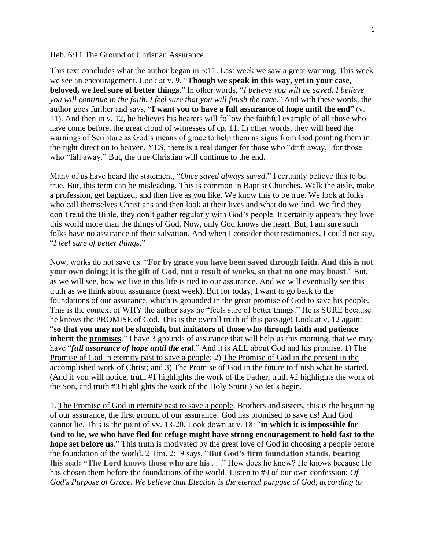## Heb. 6:11 The Ground of Christian Assurance

This text concludes what the author began in 5:11. Last week we saw a great warning. This week we see an encouragement. Look at v. 9. "**Though we speak in this way, yet in your case, beloved, we feel sure of better things**." In other words, "*I believe you will be saved. I believe you will continue in the faith. I feel sure that you will finish the race*." And with these words, the author goes further and says, "**I want you to have a full assurance of hope until the end**" (v. 11). And then in v. 12, he believes his hearers will follow the faithful example of all those who have come before, the great cloud of witnesses of cp. 11. In other words, they will heed the warnings of Scripture as God's means of grace to help them as signs from God pointing them in the right direction to heaven. YES, there is a real danger for those who "drift away," for those who "fall away." But, the true Christian will continue to the end.

Many of us have heard the statement, "*Once saved always saved*." I certainly believe this to be true. But, this term can be misleading. This is common in Baptist Churches. Walk the aisle, make a profession, get baptized, and then live as you like. We know this to be true. We look at folks who call themselves Christians and then look at their lives and what do we find. We find they don't read the Bible, they don't gather regularly with God's people. It certainly appears they love this world more than the things of God. Now, only God knows the heart. But, I am sure such folks have no assurance of their salvation. And when I consider their testimonies, I could not say, "*I feel sure of better things*."

Now, works do not save us. "**For by grace you have been saved through faith. And this is not your own doing; it is the gift of God, not a result of works, so that no one may boast**." But, as we will see, how we live in this life is tied to our assurance. And we will eventually see this truth as we think about assurance (next week). But for today, I want to go back to the foundations of our assurance, which is grounded in the great promise of God to save his people. This is the context of WHY the author says he "feels sure of better things." He is SURE because he knows the PROMISE of God. This is the overall truth of this passage! Look at v. 12 again: "**so that you may not be sluggish, but imitators of those who through faith and patience inherit the promises**." I have 3 grounds of assurance that will help us this morning, that we may have "*full assurance of hope until the end*." And it is ALL about God and his promise. 1) The Promise of God in eternity past to save a people; 2) The Promise of God in the present in the accomplished work of Christ; and 3) The Promise of God in the future to finish what he started. (And if you will notice, truth #1 highlights the work of the Father, truth #2 highlights the work of the Son, and truth #3 highlights the work of the Holy Spirit.) So let's begin.

1. The Promise of God in eternity past to save a people. Brothers and sisters, this is the beginning of our assurance, the first ground of our assurance! God has promised to save us! And God cannot lie. This is the point of vv. 13-20. Look down at v. 18: "**in which it is impossible for God to lie, we who have fled for refuge might have strong encouragement to hold fast to the hope set before us**." This truth is motivated by the great love of God in choosing a people before the foundation of the world. 2 Tim. 2:19 says, "**But God's firm foundation stands, bearing this seal: "The Lord knows those who are his** . . ." How does he know? He knows because He has chosen them before the foundations of the world! Listen to #9 of our own confession: *Of God's Purpose of Grace. We believe that Election is the eternal purpose of God, according to*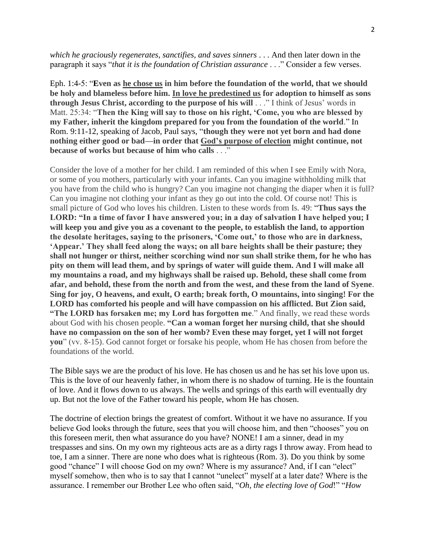*which he graciously regenerates, sanctifies, and saves sinners* . . . And then later down in the paragraph it says "*that it is the foundation of Christian assurance* . . ." Consider a few verses.

Eph. 1:4-5: "**Even as he chose us in him before the foundation of the world, that we should be holy and blameless before him. In love he predestined us for adoption to himself as sons through Jesus Christ, according to the purpose of his will** . . ." I think of Jesus' words in Matt. 25:34: "**Then the King will say to those on his right, 'Come, you who are blessed by my Father, inherit the kingdom prepared for you from the foundation of the world**." In Rom. 9:11-12, speaking of Jacob, Paul says, "**though they were not yet born and had done nothing either good or bad—in order that God's purpose of election might continue, not because of works but because of him who calls** . . ."

Consider the love of a mother for her child. I am reminded of this when I see Emily with Nora, or some of you mothers, particularly with your infants. Can you imagine withholding milk that you have from the child who is hungry? Can you imagine not changing the diaper when it is full? Can you imagine not clothing your infant as they go out into the cold. Of course not! This is small picture of God who loves his children. Listen to these words from Is. 49: "**Thus says the LORD: "In a time of favor I have answered you; in a day of salvation I have helped you; I will keep you and give you as a covenant to the people, to establish the land, to apportion the desolate heritages, saying to the prisoners, 'Come out,' to those who are in darkness, 'Appear.' They shall feed along the ways; on all bare heights shall be their pasture; they shall not hunger or thirst, neither scorching wind nor sun shall strike them, for he who has pity on them will lead them, and by springs of water will guide them. And I will make all my mountains a road, and my highways shall be raised up. Behold, these shall come from afar, and behold, these from the north and from the west, and these from the land of Syene**. **Sing for joy, O heavens, and exult, O earth; break forth, O mountains, into singing! For the LORD has comforted his people and will have compassion on his afflicted. But Zion said, "The LORD has forsaken me; my Lord has forgotten me**." And finally, we read these words about God with his chosen people. **"Can a woman forget her nursing child, that she should have no compassion on the son of her womb? Even these may forget, yet I will not forget you**" (vv. 8-15). God cannot forget or forsake his people, whom He has chosen from before the foundations of the world.

The Bible says we are the product of his love. He has chosen us and he has set his love upon us. This is the love of our heavenly father, in whom there is no shadow of turning. He is the fountain of love. And it flows down to us always. The wells and springs of this earth will eventually dry up. But not the love of the Father toward his people, whom He has chosen.

The doctrine of election brings the greatest of comfort. Without it we have no assurance. If you believe God looks through the future, sees that you will choose him, and then "chooses" you on this foreseen merit, then what assurance do you have? NONE! I am a sinner, dead in my trespasses and sins. On my own my righteous acts are as a dirty rags I throw away. From head to toe, I am a sinner. There are none who does what is righteous (Rom. 3). Do you think by some good "chance" I will choose God on my own? Where is my assurance? And, if I can "elect" myself somehow, then who is to say that I cannot "unelect" myself at a later date? Where is the assurance. I remember our Brother Lee who often said, "*Oh, the electing love of God*!" "*How*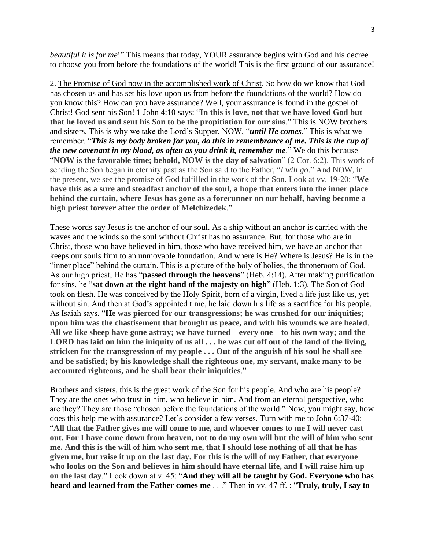*beautiful it is for me*!" This means that today, YOUR assurance begins with God and his decree to choose you from before the foundations of the world! This is the first ground of our assurance!

2. The Promise of God now in the accomplished work of Christ. So how do we know that God has chosen us and has set his love upon us from before the foundations of the world? How do you know this? How can you have assurance? Well, your assurance is found in the gospel of Christ! God sent his Son! 1 John 4:10 says: "**In this is love, not that we have loved God but that he loved us and sent his Son to be the propitiation for our sins**." This is NOW brothers and sisters. This is why we take the Lord's Supper, NOW, "*until He comes*." This is what we remember. "*This is my body broken for you, do this in remembrance of me. This is the cup of the new covenant in my blood, as often as you drink it, remember me*." We do this because "**NOW is the favorable time; behold, NOW is the day of salvation**" (2 Cor. 6:2). This work of sending the Son began in eternity past as the Son said to the Father, "*I will go*." And NOW, in the present, we see the promise of God fulfilled in the work of the Son. Look at vv. 19-20: "**We have this as a sure and steadfast anchor of the soul, a hope that enters into the inner place behind the curtain, where Jesus has gone as a forerunner on our behalf, having become a high priest forever after the order of Melchizedek**."

These words say Jesus is the anchor of our soul. As a ship without an anchor is carried with the waves and the winds so the soul without Christ has no assurance. But, for those who are in Christ, those who have believed in him, those who have received him, we have an anchor that keeps our souls firm to an unmovable foundation. And where is He? Where is Jesus? He is in the "inner place" behind the curtain. This is a picture of the holy of holies, the throneroom of God. As our high priest, He has "**passed through the heavens**" (Heb. 4:14). After making purification for sins, he "**sat down at the right hand of the majesty on high**" (Heb. 1:3). The Son of God took on flesh. He was conceived by the Holy Spirit, born of a virgin, lived a life just like us, yet without sin. And then at God's appointed time, he laid down his life as a sacrifice for his people. As Isaiah says, "**He was pierced for our transgressions; he was crushed for our iniquities; upon him was the chastisement that brought us peace, and with his wounds we are healed**. **All we like sheep have gone astray; we have turned—every one—to his own way; and the LORD has laid on him the iniquity of us all . . . he was cut off out of the land of the living, stricken for the transgression of my people . . . Out of the anguish of his soul he shall see and be satisfied; by his knowledge shall the righteous one, my servant, make many to be accounted righteous, and he shall bear their iniquities**."

Brothers and sisters, this is the great work of the Son for his people. And who are his people? They are the ones who trust in him, who believe in him. And from an eternal perspective, who are they? They are those "chosen before the foundations of the world." Now, you might say, how does this help me with assurance? Let's consider a few verses. Turn with me to John 6:37-40: "**All that the Father gives me will come to me, and whoever comes to me I will never cast out. For I have come down from heaven, not to do my own will but the will of him who sent me. And this is the will of him who sent me, that I should lose nothing of all that he has given me, but raise it up on the last day. For this is the will of my Father, that everyone who looks on the Son and believes in him should have eternal life, and I will raise him up on the last day**." Look down at v. 45: "**And they will all be taught by God. Everyone who has heard and learned from the Father comes me** . . ." Then in vv. 47 ff. : "**Truly, truly, I say to**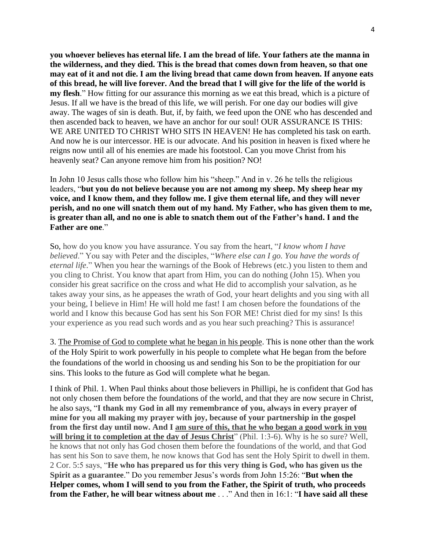**you whoever believes has eternal life. I am the bread of life. Your fathers ate the manna in the wilderness, and they died. This is the bread that comes down from heaven, so that one may eat of it and not die. I am the living bread that came down from heaven. If anyone eats of this bread, he will live forever. And the bread that I will give for the life of the world is my flesh**." How fitting for our assurance this morning as we eat this bread, which is a picture of Jesus. If all we have is the bread of this life, we will perish. For one day our bodies will give away. The wages of sin is death. But, if, by faith, we feed upon the ONE who has descended and then ascended back to heaven, we have an anchor for our soul! OUR ASSURANCE IS THIS: WE ARE UNITED TO CHRIST WHO SITS IN HEAVEN! He has completed his task on earth. And now he is our intercessor. HE is our advocate. And his position in heaven is fixed where he reigns now until all of his enemies are made his footstool. Can you move Christ from his heavenly seat? Can anyone remove him from his position? NO!

In John 10 Jesus calls those who follow him his "sheep." And in v. 26 he tells the religious leaders, "**but you do not believe because you are not among my sheep. My sheep hear my voice, and I know them, and they follow me. I give them eternal life, and they will never perish, and no one will snatch them out of my hand. My Father, who has given them to me, is greater than all, and no one is able to snatch them out of the Father's hand. I and the Father are one**."

So, how do you know you have assurance. You say from the heart, "*I know whom I have believed*." You say with Peter and the disciples, "*Where else can I go. You have the words of eternal life*." When you hear the warnings of the Book of Hebrews (etc.) you listen to them and you cling to Christ. You know that apart from Him, you can do nothing (John 15). When you consider his great sacrifice on the cross and what He did to accomplish your salvation, as he takes away your sins, as he appeases the wrath of God, your heart delights and you sing with all your being, I believe in Him! He will hold me fast! I am chosen before the foundations of the world and I know this because God has sent his Son FOR ME! Christ died for my sins! Is this your experience as you read such words and as you hear such preaching? This is assurance!

3. The Promise of God to complete what he began in his people. This is none other than the work of the Holy Spirit to work powerfully in his people to complete what He began from the before the foundations of the world in choosing us and sending his Son to be the propitiation for our sins. This looks to the future as God will complete what he began.

I think of Phil. 1. When Paul thinks about those believers in Phillipi, he is confident that God has not only chosen them before the foundations of the world, and that they are now secure in Christ, he also says, "**I thank my God in all my remembrance of you, always in every prayer of mine for you all making my prayer with joy, because of your partnership in the gospel from the first day until now. And I am sure of this, that he who began a good work in you**  will bring it to completion at the day of Jesus Christ<sup>"</sup> (Phil. 1:3-6). Why is he so sure? Well, he knows that not only has God chosen them before the foundations of the world, and that God has sent his Son to save them, he now knows that God has sent the Holy Spirit to dwell in them. 2 Cor. 5:5 says, "**He who has prepared us for this very thing is God, who has given us the Spirit as a guarantee**." Do you remember Jesus's words from John 15:26: "**But when the Helper comes, whom I will send to you from the Father, the Spirit of truth, who proceeds from the Father, he will bear witness about me** . . ." And then in 16:1: "**I have said all these**